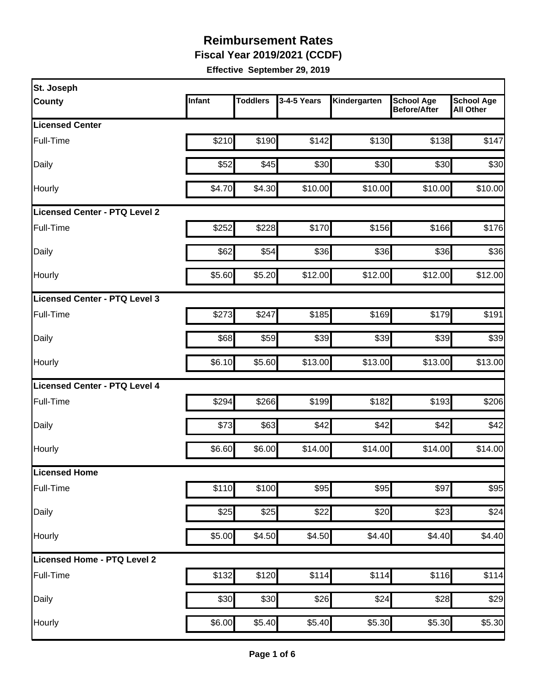**Fiscal Year 2019/2021 (CCDF)**

| St. Joseph                           |        |                 |             |              |                                          |                                       |
|--------------------------------------|--------|-----------------|-------------|--------------|------------------------------------------|---------------------------------------|
| <b>County</b>                        | Infant | <b>Toddlers</b> | 3-4-5 Years | Kindergarten | <b>School Age</b><br><b>Before/After</b> | <b>School Age</b><br><b>All Other</b> |
| <b>Licensed Center</b>               |        |                 |             |              |                                          |                                       |
| Full-Time                            | \$210  | \$190           | \$142       | \$130        | \$138                                    | \$147                                 |
| Daily                                | \$52   | \$45            | \$30        | \$30         | \$30                                     | \$30                                  |
| Hourly                               | \$4.70 | \$4.30          | \$10.00     | \$10.00      | \$10.00                                  | \$10.00                               |
| <b>Licensed Center - PTQ Level 2</b> |        |                 |             |              |                                          |                                       |
| Full-Time                            | \$252  | \$228           | \$170       | \$156        | \$166                                    | \$176                                 |
| Daily                                | \$62   | \$54            | \$36        | \$36         | \$36                                     | \$36                                  |
| Hourly                               | \$5.60 | \$5.20          | \$12.00     | \$12.00      | \$12.00                                  | \$12.00                               |
| Licensed Center - PTQ Level 3        |        |                 |             |              |                                          |                                       |
| Full-Time                            | \$273  | \$247           | \$185       | \$169        | \$179                                    | \$191                                 |
| Daily                                | \$68   | \$59            | \$39        | \$39         | \$39                                     | \$39                                  |
| Hourly                               | \$6.10 | \$5.60          | \$13.00     | \$13.00      | \$13.00                                  | \$13.00                               |
| Licensed Center - PTQ Level 4        |        |                 |             |              |                                          |                                       |
| Full-Time                            | \$294  | \$266           | \$199       | \$182        | \$193                                    | \$206                                 |
| Daily                                | \$73   | \$63            | \$42        | \$42         | \$42                                     | \$42                                  |
| Hourly                               | \$6.60 | \$6.00          | \$14.00     | \$14.00      | \$14.00                                  | \$14.00                               |
| Licensed Home                        |        |                 |             |              |                                          |                                       |
| Full-Time                            | \$110  | \$100           | \$95        | \$95         | \$97                                     | \$95                                  |
| Daily                                | \$25   | \$25            | \$22        | \$20         | \$23                                     | \$24                                  |
| Hourly                               | \$5.00 | \$4.50          | \$4.50      | \$4.40       | \$4.40                                   | \$4.40                                |
| Licensed Home - PTQ Level 2          |        |                 |             |              |                                          |                                       |
| Full-Time                            | \$132  | \$120           | \$114       | \$114        | \$116                                    | \$114                                 |
| Daily                                | \$30   | \$30            | \$26        | \$24         | \$28                                     | \$29                                  |
| Hourly                               | \$6.00 | \$5.40          | \$5.40      | \$5.30       | \$5.30                                   | \$5.30                                |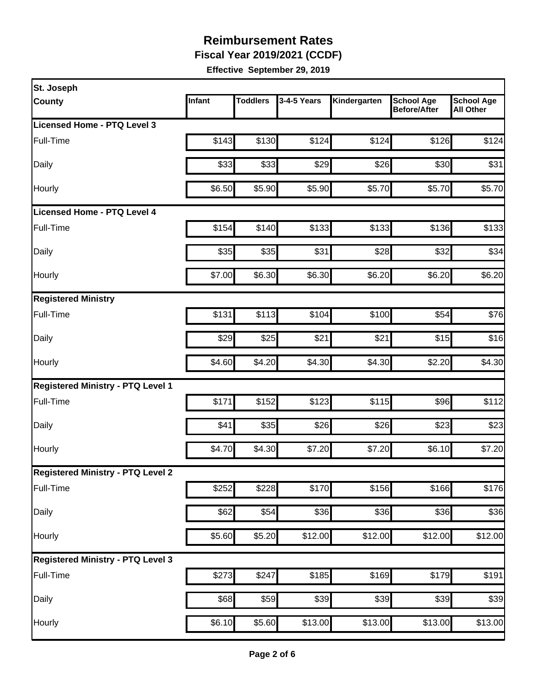**Fiscal Year 2019/2021 (CCDF)**

| St. Joseph                               |        |                 |             |              |                                   |                                       |
|------------------------------------------|--------|-----------------|-------------|--------------|-----------------------------------|---------------------------------------|
| <b>County</b>                            | Infant | <b>Toddlers</b> | 3-4-5 Years | Kindergarten | <b>School Age</b><br>Before/After | <b>School Age</b><br><b>All Other</b> |
| Licensed Home - PTQ Level 3              |        |                 |             |              |                                   |                                       |
| Full-Time                                | \$143  | \$130           | \$124       | \$124        | \$126                             | \$124                                 |
| Daily                                    | \$33   | \$33            | \$29        | \$26         | \$30                              | \$31                                  |
| Hourly                                   | \$6.50 | \$5.90          | \$5.90      | \$5.70       | \$5.70                            | \$5.70                                |
| <b>Licensed Home - PTQ Level 4</b>       |        |                 |             |              |                                   |                                       |
| Full-Time                                | \$154  | \$140           | \$133       | \$133        | \$136                             | \$133                                 |
| Daily                                    | \$35   | \$35            | \$31        | \$28         | \$32                              | \$34                                  |
| Hourly                                   | \$7.00 | \$6.30          | \$6.30      | \$6.20       | \$6.20                            | \$6.20                                |
| <b>Registered Ministry</b>               |        |                 |             |              |                                   |                                       |
| Full-Time                                | \$131  | \$113           | \$104       | \$100        | \$54                              | \$76                                  |
| Daily                                    | \$29   | \$25            | \$21        | \$21         | \$15                              | \$16                                  |
| Hourly                                   | \$4.60 | \$4.20          | \$4.30      | \$4.30       | \$2.20                            | \$4.30                                |
| <b>Registered Ministry - PTQ Level 1</b> |        |                 |             |              |                                   |                                       |
| Full-Time                                | \$171  | \$152           | \$123       | \$115        | \$96                              | \$112                                 |
| Daily                                    | \$41   | \$35            | \$26        | \$26         | \$23                              | \$23                                  |
| Hourly                                   | \$4.70 | \$4.30          | \$7.20      | \$7.20       | \$6.10                            | \$7.20                                |
| <b>Registered Ministry - PTQ Level 2</b> |        |                 |             |              |                                   |                                       |
| Full-Time                                | \$252  | \$228           | \$170       | \$156        | \$166                             | \$176                                 |
| Daily                                    | \$62   | \$54            | \$36        | \$36         | \$36                              | \$36                                  |
| Hourly                                   | \$5.60 | \$5.20          | \$12.00     | \$12.00      | \$12.00                           | \$12.00                               |
| <b>Registered Ministry - PTQ Level 3</b> |        |                 |             |              |                                   |                                       |
| Full-Time                                | \$273  | \$247           | \$185       | \$169        | \$179                             | \$191                                 |
| Daily                                    | \$68   | \$59            | \$39        | \$39         | \$39                              | \$39                                  |
| Hourly                                   | \$6.10 | \$5.60          | \$13.00     | \$13.00      | \$13.00                           | \$13.00                               |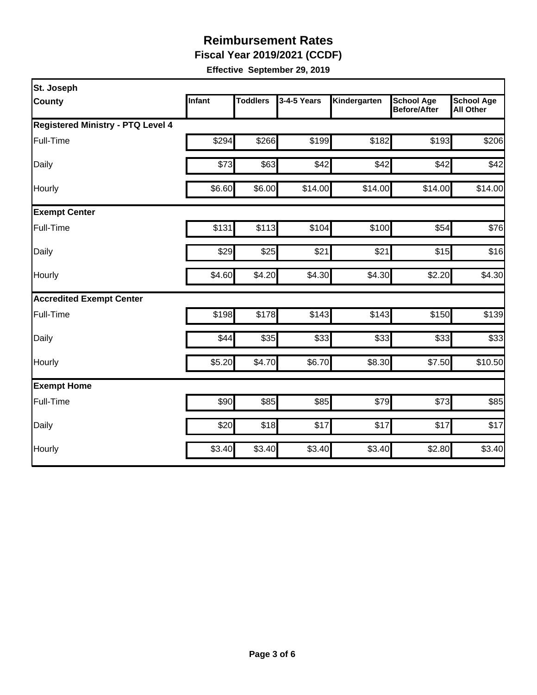**Fiscal Year 2019/2021 (CCDF)**

| St. Joseph                               |        |                 |             |              |                                          |                                       |
|------------------------------------------|--------|-----------------|-------------|--------------|------------------------------------------|---------------------------------------|
| <b>County</b>                            | Infant | <b>Toddlers</b> | 3-4-5 Years | Kindergarten | <b>School Age</b><br><b>Before/After</b> | <b>School Age</b><br><b>All Other</b> |
| <b>Registered Ministry - PTQ Level 4</b> |        |                 |             |              |                                          |                                       |
| Full-Time                                | \$294  | \$266           | \$199       | \$182        | \$193                                    | \$206                                 |
| Daily                                    | \$73   | \$63            | \$42        | \$42         | \$42                                     | \$42                                  |
| Hourly                                   | \$6.60 | \$6.00          | \$14.00     | \$14.00      | \$14.00                                  | \$14.00                               |
| <b>Exempt Center</b>                     |        |                 |             |              |                                          |                                       |
| Full-Time                                | \$131  | \$113           | \$104       | \$100        | \$54                                     | \$76                                  |
| Daily                                    | \$29   | \$25            | \$21        | \$21         | \$15                                     | \$16                                  |
| Hourly                                   | \$4.60 | \$4.20          | \$4.30      | \$4.30       | \$2.20                                   | \$4.30                                |
| <b>Accredited Exempt Center</b>          |        |                 |             |              |                                          |                                       |
| Full-Time                                | \$198  | \$178           | \$143       | \$143        | \$150                                    | \$139                                 |
| Daily                                    | \$44   | \$35            | \$33        | \$33         | \$33                                     | \$33                                  |
| Hourly                                   | \$5.20 | \$4.70          | \$6.70      | \$8.30       | \$7.50                                   | \$10.50                               |
| <b>Exempt Home</b>                       |        |                 |             |              |                                          |                                       |
| Full-Time                                | \$90   | \$85            | \$85        | \$79         | \$73                                     | \$85                                  |
| Daily                                    | \$20   | \$18            | \$17        | \$17         | \$17                                     | \$17                                  |
| Hourly                                   | \$3.40 | \$3.40          | \$3.40      | \$3.40       | \$2.80                                   | \$3.40                                |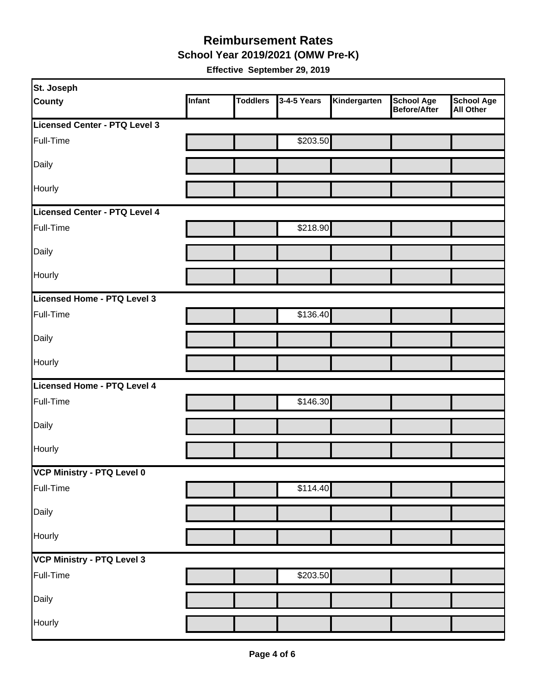**School Year 2019/2021 (OMW Pre-K)**

| St. Joseph                    |        |                 |             |              |                                   |                         |
|-------------------------------|--------|-----------------|-------------|--------------|-----------------------------------|-------------------------|
| <b>County</b>                 | Infant | <b>Toddlers</b> | 3-4-5 Years | Kindergarten | <b>School Age</b><br>Before/After | School Age<br>All Other |
| Licensed Center - PTQ Level 3 |        |                 |             |              |                                   |                         |
| Full-Time                     |        |                 | \$203.50    |              |                                   |                         |
| Daily                         |        |                 |             |              |                                   |                         |
| Hourly                        |        |                 |             |              |                                   |                         |
| Licensed Center - PTQ Level 4 |        |                 |             |              |                                   |                         |
| Full-Time                     |        |                 | \$218.90    |              |                                   |                         |
| Daily                         |        |                 |             |              |                                   |                         |
| Hourly                        |        |                 |             |              |                                   |                         |
| Licensed Home - PTQ Level 3   |        |                 |             |              |                                   |                         |
| Full-Time                     |        |                 | \$136.40    |              |                                   |                         |
| Daily                         |        |                 |             |              |                                   |                         |
| Hourly                        |        |                 |             |              |                                   |                         |
| Licensed Home - PTQ Level 4   |        |                 |             |              |                                   |                         |
| Full-Time                     |        |                 | \$146.30    |              |                                   |                         |
| Daily                         |        |                 |             |              |                                   |                         |
| Hourly                        |        |                 |             |              |                                   |                         |
| VCP Ministry - PTQ Level 0    |        |                 |             |              |                                   |                         |
| Full-Time                     |        |                 | \$114.40    |              |                                   |                         |
| Daily                         |        |                 |             |              |                                   |                         |
| Hourly                        |        |                 |             |              |                                   |                         |
| VCP Ministry - PTQ Level 3    |        |                 |             |              |                                   |                         |
| Full-Time                     |        |                 | \$203.50    |              |                                   |                         |
| Daily                         |        |                 |             |              |                                   |                         |
| Hourly                        |        |                 |             |              |                                   |                         |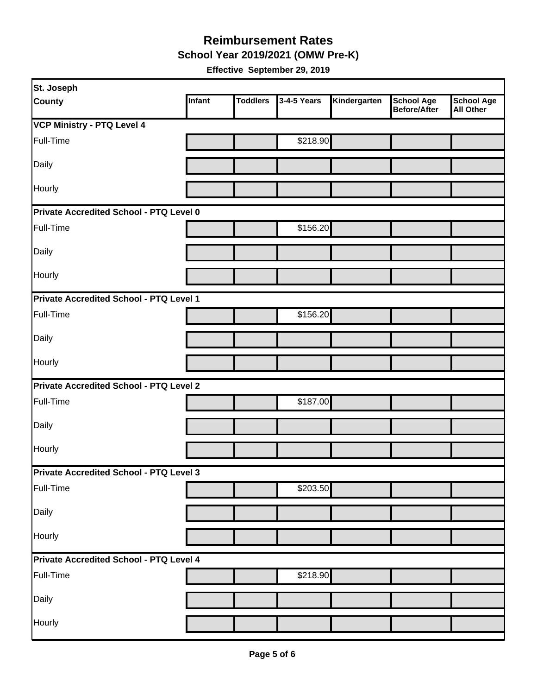**School Year 2019/2021 (OMW Pre-K)**

| St. Joseph                                     |        |                 |             |              |                                   |                                       |
|------------------------------------------------|--------|-----------------|-------------|--------------|-----------------------------------|---------------------------------------|
| <b>County</b>                                  | Infant | <b>Toddlers</b> | 3-4-5 Years | Kindergarten | <b>School Age</b><br>Before/After | <b>School Age</b><br><b>All Other</b> |
| <b>VCP Ministry - PTQ Level 4</b>              |        |                 |             |              |                                   |                                       |
| Full-Time                                      |        |                 | \$218.90    |              |                                   |                                       |
| Daily                                          |        |                 |             |              |                                   |                                       |
| Hourly                                         |        |                 |             |              |                                   |                                       |
| <b>Private Accredited School - PTQ Level 0</b> |        |                 |             |              |                                   |                                       |
| Full-Time                                      |        |                 | \$156.20    |              |                                   |                                       |
| Daily                                          |        |                 |             |              |                                   |                                       |
| Hourly                                         |        |                 |             |              |                                   |                                       |
| Private Accredited School - PTQ Level 1        |        |                 |             |              |                                   |                                       |
| Full-Time                                      |        |                 | \$156.20    |              |                                   |                                       |
| Daily                                          |        |                 |             |              |                                   |                                       |
| Hourly                                         |        |                 |             |              |                                   |                                       |
| <b>Private Accredited School - PTQ Level 2</b> |        |                 |             |              |                                   |                                       |
| Full-Time                                      |        |                 | \$187.00    |              |                                   |                                       |
| Daily                                          |        |                 |             |              |                                   |                                       |
| Hourly                                         |        |                 |             |              |                                   |                                       |
| <b>Private Accredited School - PTQ Level 3</b> |        |                 |             |              |                                   |                                       |
| Full-Time                                      |        |                 | \$203.50    |              |                                   |                                       |
| Daily                                          |        |                 |             |              |                                   |                                       |
| Hourly                                         |        |                 |             |              |                                   |                                       |
| Private Accredited School - PTQ Level 4        |        |                 |             |              |                                   |                                       |
| Full-Time                                      |        |                 | \$218.90    |              |                                   |                                       |
| Daily                                          |        |                 |             |              |                                   |                                       |
| Hourly                                         |        |                 |             |              |                                   |                                       |